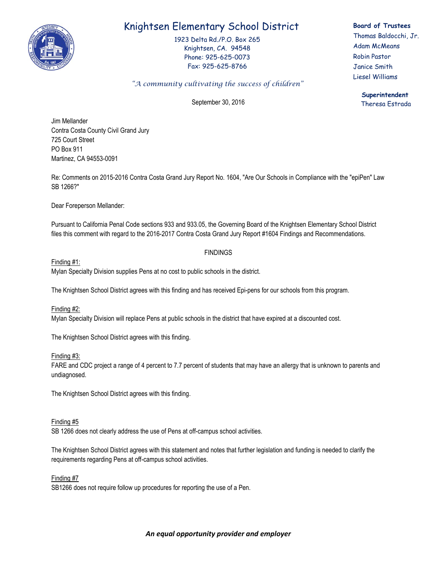

# Knightsen Elementary School District

1923 Delta Rd./P.O. Box 265 Knightsen, CA. 94548 Phone: 925-625-0073 Fax: 925-625-8766

# **Board of Trustees**

Thomas Baldocchi, Jr. Adam McMeans Robin Pastor Janice Smith Liesel Williams

> **Superintendent** Theresa Estrada

# *"A community cultivating the success of children"*

September 30, 2016

Jim Mellander Contra Costa County Civil Grand Jury 725 Court Street PO Box 911 Martinez, CA 94553-0091

Re: Comments on 2015-2016 Contra Costa Grand Jury Report No. 1604, "Are Our Schools in Compliance with the "epiPen" Law SB 1266?"

Dear Foreperson Mellander:

Pursuant to California Penal Code sections 933 and 933.05, the Governing Board of the Knightsen Elementary School District files this comment with regard to the 2016-2017 Contra Costa Grand Jury Report #1604 Findings and Recommendations.

# FINDINGS

Finding #1:

Mylan Specialty Division supplies Pens at no cost to public schools in the district.

The Knightsen School District agrees with this finding and has received Epi-pens for our schools from this program.

Finding #2: Mylan Specialty Division will replace Pens at public schools in the district that have expired at a discounted cost.

The Knightsen School District agrees with this finding.

Finding #3:

FARE and CDC project a range of 4 percent to 7.7 percent of students that may have an allergy that is unknown to parents and undiagnosed.

The Knightsen School District agrees with this finding.

## Finding #5

SB 1266 does not clearly address the use of Pens at off-campus school activities.

The Knightsen School District agrees with this statement and notes that further legislation and funding is needed to clarify the requirements regarding Pens at off-campus school activities.

## Finding #7

SB1266 does not require follow up procedures for reporting the use of a Pen.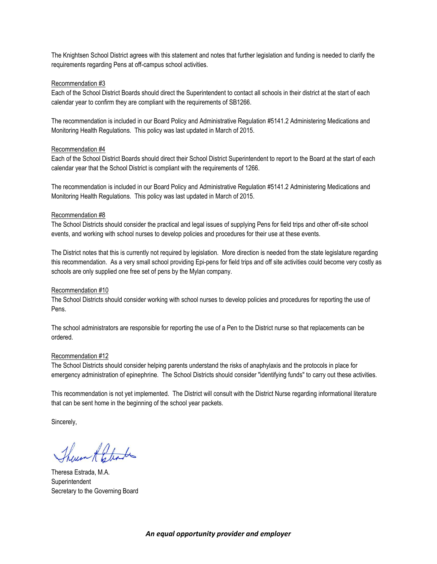The Knightsen School District agrees with this statement and notes that further legislation and funding is needed to clarify the requirements regarding Pens at off-campus school activities.

### Recommendation #3

Each of the School District Boards should direct the Superintendent to contact all schools in their district at the start of each calendar year to confirm they are compliant with the requirements of SB1266.

The recommendation is included in our Board Policy and Administrative Regulation #5141.2 Administering Medications and Monitoring Health Regulations. This policy was last updated in March of 2015.

#### Recommendation #4

Each of the School District Boards should direct their School District Superintendent to report to the Board at the start of each calendar year that the School District is compliant with the requirements of 1266.

The recommendation is included in our Board Policy and Administrative Regulation #5141.2 Administering Medications and Monitoring Health Regulations. This policy was last updated in March of 2015.

#### Recommendation #8

The School Districts should consider the practical and legal issues of supplying Pens for field trips and other off-site school events, and working with school nurses to develop policies and procedures for their use at these events.

The District notes that this is currently not required by legislation. More direction is needed from the state legislature regarding this recommendation. As a very small school providing Epi-pens for field trips and off site activities could become very costly as schools are only supplied one free set of pens by the Mylan company.

#### Recommendation #10

The School Districts should consider working with school nurses to develop policies and procedures for reporting the use of Pens.

The school administrators are responsible for reporting the use of a Pen to the District nurse so that replacements can be ordered.

#### Recommendation #12

The School Districts should consider helping parents understand the risks of anaphylaxis and the protocols in place for emergency administration of epinephrine. The School Districts should consider "identifying funds" to carry out these activities.

This recommendation is not yet implemented. The District will consult with the District Nurse regarding informational literature that can be sent home in the beginning of the school year packets.

Sincerely,

Theun A Etinte

Theresa Estrada, M.A. Superintendent Secretary to the Governing Board